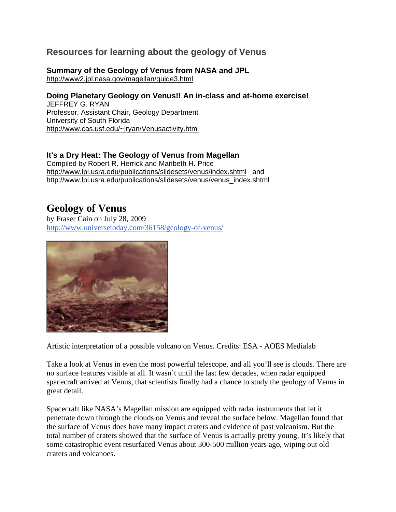## **Resources for learning about the geology of Venus**

## **Summary of the Geology of Venus from NASA and JPL**

<http://www2.jpl.nasa.gov/magellan/guide3.html>

## **Doing Planetary Geology on Venus!! An in-class and at-home exercise!**

JEFFREY G. RYAN Professor, Assistant Chair, Geology Department University of South Florida [http://www.cas.usf.edu/~jryan/Venusactivity.html](http://www.cas.usf.edu/%7Ejryan/Venusactivity.html)

## **It's a Dry Heat: The Geology of Venus from Magellan**

Compiled by Robert R. Herrick and Maribeth H. Price <http://www.lpi.usra.edu/publications/slidesets/venus/index.shtml> and http://www.lpi.usra.edu/publications/slidesets/venus/venus\_index.shtml

## **Geology of Venus**

by Fraser Cain on July 28, 2009 <http://www.universetoday.com/36158/geology-of-venus/>



Artistic interpretation of a possible volcano on Venus. Credits: ESA - AOES Medialab

Take a look at Venus in even the most powerful telescope, and all you'll see is clouds. There are no surface features visible at all. It wasn't until the last few decades, when radar equipped spacecraft arrived at Venus, that scientists finally had a chance to study the geology of Venus in great detail.

Spacecraft like NASA's Magellan mission are equipped with radar instruments that let it penetrate down through the clouds on Venus and reveal the surface below. Magellan found that the surface of Venus does have many impact craters and evidence of past volcanism. But the total number of craters showed that the surface of Venus is actually pretty young. It's likely that some catastrophic event resurfaced Venus about 300-500 million years ago, wiping out old craters and volcanoes.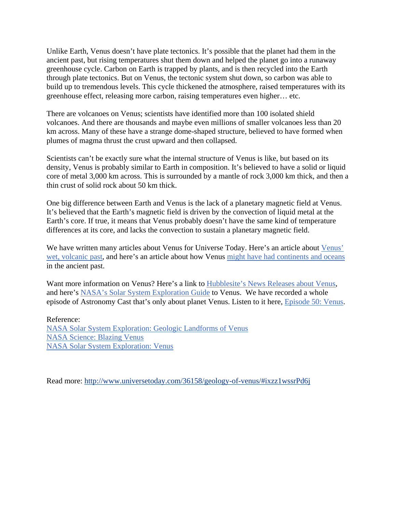Unlike Earth, Venus doesn't have plate tectonics. It's possible that the planet had them in the ancient past, but rising temperatures shut them down and helped the planet go into a runaway greenhouse cycle. Carbon on Earth is trapped by plants, and is then recycled into the Earth through plate tectonics. But on Venus, the tectonic system shut down, so carbon was able to build up to tremendous levels. This cycle thickened the atmosphere, raised temperatures with its greenhouse effect, releasing more carbon, raising temperatures even higher… etc.

There are volcanoes on Venus; scientists have identified more than 100 isolated shield volcanoes. And there are thousands and maybe even millions of smaller volcanoes less than 20 km across. Many of these have a strange dome-shaped structure, believed to have formed when plumes of magma thrust the crust upward and then collapsed.

Scientists can't be exactly sure what the internal structure of Venus is like, but based on its density, Venus is probably similar to Earth in composition. It's believed to have a solid or liquid core of metal 3,000 km across. This is surrounded by a mantle of rock 3,000 km thick, and then a thin crust of solid rock about 50 km thick.

One big difference between Earth and Venus is the lack of a planetary magnetic field at Venus. It's believed that the Earth's magnetic field is driven by the convection of liquid metal at the Earth's core. If true, it means that Venus probably doesn't have the same kind of temperature differences at its core, and lacks the convection to sustain a planetary magnetic field.

We have written many articles about Venus for Universe Today. Here's an article about Venus' [wet, volcanic past](http://www.universetoday.com/34758/new-map-hints-at-venus-wet-volcanic-past/), and here's an article about how Venus [might have had continents and oceans](http://www.universetoday.com/23651/venus-possibly-had-continents-oceans/) in the ancient past.

Want more information on Venus? Here's a link to [Hubblesite's News Releases about Venus,](http://hubblesite.org/newscenter/archive/releases/solar-system/venus/) and here's [NASA's Solar System Exploration Guide](http://solarsystem.nasa.gov/planets/profile.cfm?Object=Venus) to Venus. We have recorded a whole episode of Astronomy Cast that's only about planet Venus. Listen to it here, [Episode 50: Venus.](http://www.astronomycast.com/2007/08/episode-50-venus/)

Reference: [NASA Solar System Exploration: Geologic Landforms of Venus](http://solarsystem.nasa.gov/docs/Geologic_Landforms_Venus.pdf) [NASA Science: Blazing Venus](http://science.nasa.gov/science-news/science-at-nasa/2001/ast20feb_1/) [NASA Solar System Exploration: Venus](http://solarsystem.nasa.gov/planets/profile.cfm?Object=Venus)

Read more: <http://www.universetoday.com/36158/geology-of-venus/#ixzz1wssrPd6j>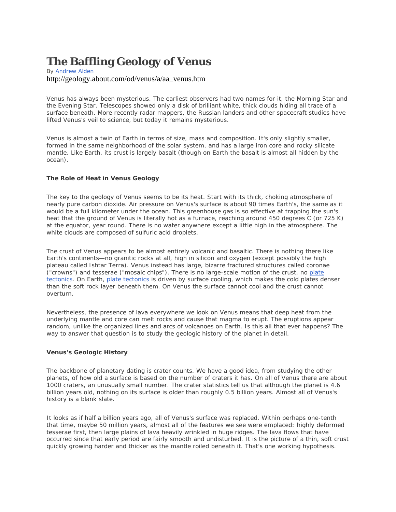# **The Baffling Geology of Venus**

#### By [Andrew Alden](http://geology.about.com/bio/Andrew-Alden-453.htm) http://geology.about.com/od/venus/a/aa\_venus.htm

Venus has always been mysterious. The earliest observers had two names for it, the Morning Star and the Evening Star. Telescopes showed only a disk of brilliant white, thick clouds hiding all trace of a surface beneath. More recently radar mappers, the Russian landers and other spacecraft studies have lifted Venus's veil to science, but today it remains mysterious.

Venus is almost a twin of Earth in terms of size, mass and composition. It's only slightly smaller, formed in the same neighborhood of the solar system, and has a large iron core and rocky silicate mantle. Like Earth, its crust is largely basalt (though on Earth the basalt is almost all hidden by the ocean).

#### **The Role of Heat in Venus Geology**

The key to the geology of Venus seems to be its heat. Start with its thick, choking atmosphere of nearly pure carbon dioxide. Air pressure on Venus's surface is about 90 times Earth's, the same as it would be a full kilometer under the ocean. This greenhouse gas is so effective at trapping the sun's heat that the ground of Venus is literally hot as a furnace, reaching around 450 degrees C (or 725 K) at the equator, year round. There is no water anywhere except a little high in the atmosphere. The white clouds are composed of sulfuric acid droplets.

The crust of Venus appears to be almost entirely volcanic and basaltic. There is nothing there like Earth's continents—no granitic rocks at all, high in silicon and oxygen (except possibly the high plateau called Ishtar Terra). Venus instead has large, bizarre fractured structures called coronae ("crowns") and tesserae ("mosaic chips"). There is no large-scale motion of the crust, no [plate](http://geology.about.com/od/platetectonics/a/About-Plate-Tectonics.htm)  [tectonics](http://geology.about.com/od/platetectonics/a/About-Plate-Tectonics.htm). On Earth, [plate tectonics](http://geology.about.com/library/bl/blnutshell_plate-tec.htm) is driven by surface cooling, which makes the cold plates denser than the soft rock layer beneath them. On Venus the surface cannot cool and the crust cannot overturn.

Nevertheless, the presence of lava everywhere we look on Venus means that deep heat from the underlying mantle and core can melt rocks and cause that magma to erupt. The eruptions appear random, unlike the organized lines and arcs of volcanoes on Earth. Is this all that ever happens? The way to answer that question is to study the geologic history of the planet in detail.

#### **Venus's Geologic History**

The backbone of planetary dating is crater counts. We have a good idea, from studying the other planets, of how old a surface is based on the number of craters it has. On all of Venus there are about 1000 craters, an unusually small number. The crater statistics tell us that although the planet is 4.6 billion years old, nothing on its surface is older than roughly 0.5 billion years. Almost all of Venus's history is a blank slate.

It looks as if half a billion years ago, all of Venus's surface was replaced. Within perhaps one-tenth that time, maybe 50 million years, almost all of the features we see were emplaced: highly deformed tesserae first, then large plains of lava heavily wrinkled in huge ridges. The lava flows that have occurred since that early period are fairly smooth and undisturbed. It is the picture of a thin, soft crust quickly growing harder and thicker as the mantle roiled beneath it. That's one working hypothesis.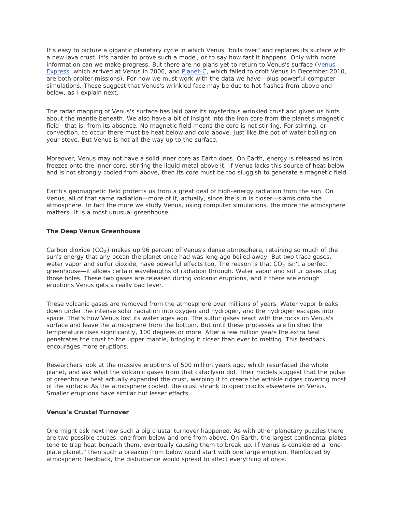It's easy to picture a gigantic planetary cycle in which Venus "boils over" and replaces its surface with a new lava crust. It's harder to prove such a model, or to say how fast it happens. Only with more information can we make progress. But there are no plans yet to return to Venus's surface (Venus [Express](http://sci.esa.int/science-e/www/area/index.cfm?fareaid=64), which arrived at Venus in 2006, and [Planet-C](http://www.isas.jaxa.jp/e/enterp/missions/planet-c/index.shtml), which failed to orbit Venus in December 2010, are both orbiter missions). For now we must work with the data we have—plus powerful computer simulations. Those suggest that Venus's wrinkled face may be due to hot flashes from above and below, as I explain next.

The radar mapping of Venus's surface has laid bare its mysterious wrinkled crust and given us hints about the mantle beneath. We also have a bit of insight into the iron core from the planet's magnetic field—that is, from its absence. No magnetic field means the core is not stirring. For stirring, or convection, to occur there must be heat below and cold above, just like the pot of water boiling on your stove. But Venus is hot all the way up to the surface.

Moreover, Venus may not have a solid inner core as Earth does. On Earth, energy is released as iron freezes onto the inner core, stirring the liquid metal above it. If Venus lacks this source of heat below and is not strongly cooled from above, then its core must be too sluggish to generate a magnetic field.

Earth's geomagnetic field protects us from a great deal of high-energy radiation from the sun. On Venus, all of that same radiation—more of it, actually, since the sun is closer—slams onto the atmosphere. In fact the more we study Venus, using computer simulations, the more the atmosphere matters. It is a most unusual greenhouse.

#### **The Deep Venus Greenhouse**

Carbon dioxide ( $CO<sub>2</sub>$ ) makes up 96 percent of Venus's dense atmosphere, retaining so much of the sun's energy that any ocean the planet once had was long ago boiled away. But two trace gases, water vapor and sulfur dioxide, have powerful effects too. The reason is that  $CO<sub>2</sub>$  isn't a perfect greenhouse—it allows certain wavelengths of radiation through. Water vapor and sulfur gases plug those holes. These two gases are released during volcanic eruptions, and if there are enough eruptions Venus gets a really bad fever.

These volcanic gases are removed from the atmosphere over millions of years. Water vapor breaks down under the intense solar radiation into oxygen and hydrogen, and the hydrogen escapes into space. That's how Venus lost its water ages ago. The sulfur gases react with the rocks on Venus's surface and leave the atmosphere from the bottom. But until these processes are finished the temperature rises significantly, 100 degrees or more. After a few million years the extra heat penetrates the crust to the upper mantle, bringing it closer than ever to melting. This feedback encourages more eruptions.

Researchers look at the massive eruptions of 500 million years ago, which resurfaced the whole planet, and ask what the volcanic gases from that cataclysm did. Their models suggest that the pulse of greenhouse heat actually expanded the crust, warping it to create the wrinkle ridges covering most of the surface. As the atmosphere cooled, the crust shrank to open cracks elsewhere on Venus. Smaller eruptions have similar but lesser effects.

#### **Venus's Crustal Turnover**

One might ask next how such a big crustal turnover happened. As with other planetary puzzles there are two possible causes, one from below and one from above. On Earth, the largest continental plates tend to trap heat beneath them, eventually causing them to break up. If Venus is considered a "oneplate planet," then such a breakup from below could start with one large eruption. Reinforced by atmospheric feedback, the disturbance would spread to affect everything at once.